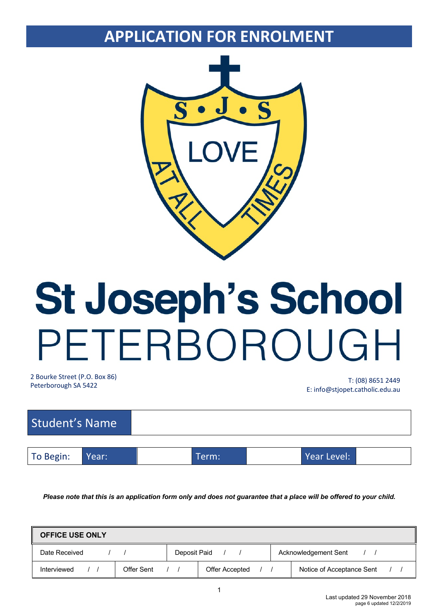# **APPLICATION FOR ENROLMENT**



# St Joseph's School PETERBOROUGH

2 Bourke Street (P.O. Box 86)

Peterborough SA 5422 T: (08) 8651 2449 E: info@stjopet.catholic.edu.au

| Student's Name |       |       |             |  |
|----------------|-------|-------|-------------|--|
|                |       |       |             |  |
| To Begin:      | Year: | Term: | Year Level: |  |

*Please note that this is an application form only and does not guarantee that a place will be offered to your child.*

| <b>OFFICE USE ONLY</b> |            |                |                      |                           |
|------------------------|------------|----------------|----------------------|---------------------------|
| Date Received          |            | Deposit Paid   | Acknowledgement Sent |                           |
| Interviewed            | Offer Sent | Offer Accepted |                      | Notice of Acceptance Sent |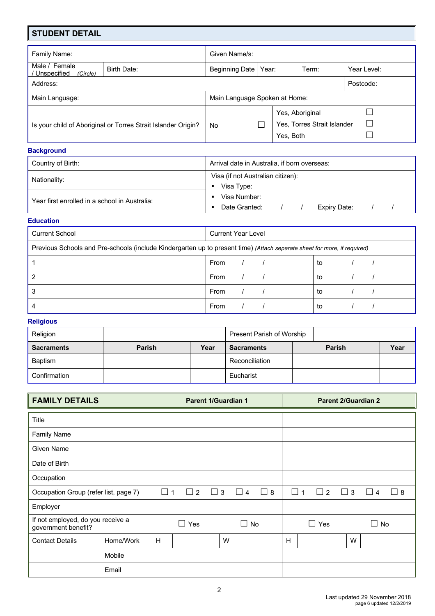| <b>STUDENT DETAIL</b>                                         |                               |                |                             |                 |             |  |  |
|---------------------------------------------------------------|-------------------------------|----------------|-----------------------------|-----------------|-------------|--|--|
| Family Name:                                                  |                               | Given Name/s:  |                             |                 |             |  |  |
| Male / Female<br>/ Unspecified<br>(Circle)                    | Birth Date:                   | Beginning Date | Year:                       | Term:           | Year Level: |  |  |
| Address:                                                      |                               |                |                             |                 | Postcode:   |  |  |
| Main Language:                                                | Main Language Spoken at Home: |                |                             |                 |             |  |  |
|                                                               |                               |                |                             | Yes, Aboriginal |             |  |  |
| Is your child of Aboriginal or Torres Strait Islander Origin? | No                            |                | Yes, Torres Strait Islander | $\mathbf{L}$    |             |  |  |
|                                                               |                               |                |                             | Yes. Both       |             |  |  |

## **Background**

| Country of Birth:                             | Arrival date in Australia, if born overseas:    |  |  |  |  |  |
|-----------------------------------------------|-------------------------------------------------|--|--|--|--|--|
| Nationality:                                  | Visa (if not Australian citizen):<br>Visa Type: |  |  |  |  |  |
| Year first enrolled in a school in Australia: | Visa Number:<br>Date Granted:<br>Expiry Date:   |  |  |  |  |  |

## **Education**

| <b>Current School</b> |                                                                                                                          | <b>Current Year Level</b> |  |  |    |  |  |
|-----------------------|--------------------------------------------------------------------------------------------------------------------------|---------------------------|--|--|----|--|--|
|                       | Previous Schools and Pre-schools (include Kindergarten up to present time) (Attach separate sheet for more, if required) |                           |  |  |    |  |  |
|                       |                                                                                                                          | From                      |  |  | to |  |  |
| 2                     |                                                                                                                          | From                      |  |  | to |  |  |
| 3                     |                                                                                                                          | From                      |  |  | to |  |  |
| 4                     |                                                                                                                          | From                      |  |  | to |  |  |

# **Religious**

| Religion          |        |      | Present Parish of Worship |               |      |
|-------------------|--------|------|---------------------------|---------------|------|
| <b>Sacraments</b> | Parish | Year | <b>Sacraments</b>         | <b>Parish</b> | Year |
| <b>Baptism</b>    |        |      | Reconciliation            |               |      |
| Confirmation      |        |      | Eucharist                 |               |      |

| <b>FAMILY DETAILS</b>                                    | <b>Parent 1/Guardian 1</b>                                      | <b>Parent 2/Guardian 2</b>                                         |
|----------------------------------------------------------|-----------------------------------------------------------------|--------------------------------------------------------------------|
| Title                                                    |                                                                 |                                                                    |
|                                                          |                                                                 |                                                                    |
| <b>Family Name</b>                                       |                                                                 |                                                                    |
| <b>Given Name</b>                                        |                                                                 |                                                                    |
| Date of Birth                                            |                                                                 |                                                                    |
| Occupation                                               |                                                                 |                                                                    |
| Occupation Group (refer list, page 7)                    | $\Box$ 2<br>$\Box$<br>$\Box$ 3<br>$\Box$ 4<br>8<br>$\lceil$   1 | $\Box$ 3<br>$\Box$ 1<br>$\Box$ 2<br>$\perp$<br>8<br>$\overline{4}$ |
| Employer                                                 |                                                                 |                                                                    |
| If not employed, do you receive a<br>government benefit? | $\Box$ Yes<br>$\Box$ No                                         | $\Box$ Yes<br>$\square$ No                                         |
| Home/Work<br><b>Contact Details</b>                      | H<br>W                                                          | W<br>H                                                             |
| Mobile                                                   |                                                                 |                                                                    |
| Email                                                    |                                                                 |                                                                    |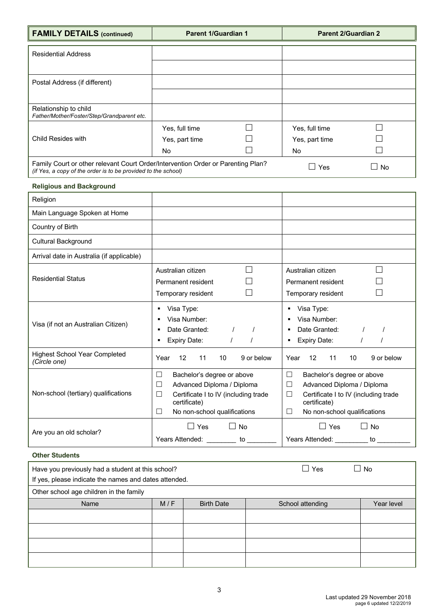| <b>FAMILY DETAILS (continued)</b>                                                                                                                 | <b>Parent 1/Guardian 1</b>                             | <b>Parent 2/Guardian 2</b>                                 |  |  |
|---------------------------------------------------------------------------------------------------------------------------------------------------|--------------------------------------------------------|------------------------------------------------------------|--|--|
| <b>Residential Address</b>                                                                                                                        |                                                        |                                                            |  |  |
|                                                                                                                                                   |                                                        |                                                            |  |  |
| Postal Address (if different)                                                                                                                     |                                                        |                                                            |  |  |
|                                                                                                                                                   |                                                        |                                                            |  |  |
| Relationship to child<br>Father/Mother/Foster/Step/Grandparent etc.                                                                               |                                                        |                                                            |  |  |
|                                                                                                                                                   | Yes, full time                                         | $\mathsf{L}$<br>Yes, full time                             |  |  |
| Child Resides with                                                                                                                                | Yes, part time                                         | Yes, part time                                             |  |  |
|                                                                                                                                                   | No                                                     | <b>No</b>                                                  |  |  |
| Family Court or other relevant Court Order/Intervention Order or Parenting Plan?<br>(if Yes, a copy of the order is to be provided to the school) |                                                        | $\Box$ Yes<br>$\Box$ No                                    |  |  |
| <b>Religious and Background</b>                                                                                                                   |                                                        |                                                            |  |  |
| Religion                                                                                                                                          |                                                        |                                                            |  |  |
| Main Language Spoken at Home                                                                                                                      |                                                        |                                                            |  |  |
| Country of Birth                                                                                                                                  |                                                        |                                                            |  |  |
| Cultural Background                                                                                                                               |                                                        |                                                            |  |  |
| Arrival date in Australia (if applicable)                                                                                                         |                                                        |                                                            |  |  |
|                                                                                                                                                   | Australian citizen                                     | Australian citizen                                         |  |  |
| <b>Residential Status</b>                                                                                                                         | Permanent resident                                     | Permanent resident                                         |  |  |
|                                                                                                                                                   | Temporary resident                                     | Temporary resident                                         |  |  |
|                                                                                                                                                   | Visa Type:<br>٠                                        | Visa Type:<br>٠                                            |  |  |
| Visa (if not an Australian Citizen)                                                                                                               | Visa Number:<br>٠                                      | Visa Number:<br>٠                                          |  |  |
|                                                                                                                                                   | Date Granted:<br>$\prime$<br><b>Expiry Date:</b><br>٠  | Date Granted:<br>$\prime$<br>٠<br><b>Expiry Date:</b><br>٠ |  |  |
| <b>Highest School Year Completed</b><br>(Circle one)                                                                                              | Year<br>12<br>11<br>10<br>9 or below                   | Year<br>12<br>11<br>10<br>9 or below                       |  |  |
|                                                                                                                                                   | Bachelor's degree or above<br>$\Box$                   | $\Box$<br>Bachelor's degree or above                       |  |  |
|                                                                                                                                                   | $\Box$<br>Advanced Diploma / Diploma                   | $\Box$<br>Advanced Diploma / Diploma                       |  |  |
| Non-school (tertiary) qualifications                                                                                                              | Certificate I to IV (including trade<br>$\Box$         | Certificate I to IV (including trade<br>$\Box$             |  |  |
|                                                                                                                                                   | certificate)<br>No non-school qualifications<br>$\Box$ | certificate)<br>No non-school qualifications<br>$\Box$     |  |  |
|                                                                                                                                                   |                                                        |                                                            |  |  |
| Are you an old scholar?                                                                                                                           | $\Box$ No<br>$\Box$ Yes                                | $\Box$ No<br>$\Box$ Yes                                    |  |  |
|                                                                                                                                                   | Years Attended: _________ to ________                  | Years Attended: _________ to _________                     |  |  |

# **Other Students**

| Have you previously had a student at this school?<br>If yes, please indicate the names and dates attended. |     |                   | $\overline{\phantom{0}}$<br>Yes<br>$\Box$ | <b>No</b>  |
|------------------------------------------------------------------------------------------------------------|-----|-------------------|-------------------------------------------|------------|
| Other school age children in the family                                                                    |     |                   |                                           |            |
| Name                                                                                                       | M/F | <b>Birth Date</b> | School attending                          | Year level |
|                                                                                                            |     |                   |                                           |            |
|                                                                                                            |     |                   |                                           |            |
|                                                                                                            |     |                   |                                           |            |
|                                                                                                            |     |                   |                                           |            |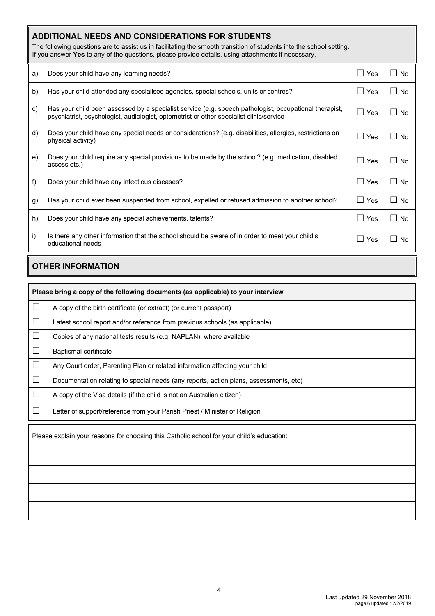# **ADDITIONAL NEEDS AND CONSIDERATIONS FOR STUDENTS**

The following questions are to assist us in facilitating the smooth transition of students into the school setting. If you answer **Yes** to any of the questions, please provide details, using attachments if necessary.

| a)               | Does your child have any learning needs?                                                                                                                                                          | l Yes<br>$\mathsf{L}$ | <b>No</b><br>$\perp$      |
|------------------|---------------------------------------------------------------------------------------------------------------------------------------------------------------------------------------------------|-----------------------|---------------------------|
| b)               | Has your child attended any specialised agencies, special schools, units or centres?                                                                                                              | Yes<br>$\mathbf{I}$   | $\perp$<br><b>No</b>      |
| C)               | Has your child been assessed by a specialist service (e.g. speech pathologist, occupational therapist,<br>psychiatrist, psychologist, audiologist, optometrist or other specialist clinic/service | Yes                   | $\mathsf{L}$<br><b>No</b> |
| d)               | Does your child have any special needs or considerations? (e.g. disabilities, allergies, restrictions on<br>physical activity)                                                                    | Yes<br>$\mathsf{L}$   | <b>No</b><br>$\perp$      |
| e)               | Does your child require any special provisions to be made by the school? (e.g. medication, disabled<br>access etc.)                                                                               | Yes<br>$\mathsf{L}$   | <b>No</b><br>$\mathsf{L}$ |
| f)               | Does your child have any infectious diseases?                                                                                                                                                     | Yes<br>$\mathbf{I}$   | <b>No</b><br>$\perp$      |
| $\mathfrak{g}$ ) | Has your child ever been suspended from school, expelled or refused admission to another school?                                                                                                  | Yes                   | $\mathsf{L}$<br><b>No</b> |
| h)               | Does your child have any special achievements, talents?                                                                                                                                           | Yes                   | $\perp$<br><b>No</b>      |
| i)               | Is there any other information that the school should be aware of in order to meet your child's<br>educational needs                                                                              | Yes                   | $\Box$<br><b>No</b>       |

# **OTHER INFORMATION**

|                             | Please bring a copy of the following documents (as applicable) to your interview          |  |  |  |  |  |
|-----------------------------|-------------------------------------------------------------------------------------------|--|--|--|--|--|
| $\Box$                      | A copy of the birth certificate (or extract) (or current passport)                        |  |  |  |  |  |
| $\mathcal{L}_{\mathcal{A}}$ | Latest school report and/or reference from previous schools (as applicable)               |  |  |  |  |  |
| L                           | Copies of any national tests results (e.g. NAPLAN), where available                       |  |  |  |  |  |
| $\Box$                      | Baptismal certificate                                                                     |  |  |  |  |  |
| $\Box$                      | Any Court order, Parenting Plan or related information affecting your child               |  |  |  |  |  |
| $\overline{\phantom{a}}$    | Documentation relating to special needs (any reports, action plans, assessments, etc)     |  |  |  |  |  |
|                             | A copy of the Visa details (if the child is not an Australian citizen)                    |  |  |  |  |  |
|                             | Letter of support/reference from your Parish Priest / Minister of Religion                |  |  |  |  |  |
|                             | Please explain your reasons for choosing this Catholic school for your child's education: |  |  |  |  |  |
|                             |                                                                                           |  |  |  |  |  |
|                             |                                                                                           |  |  |  |  |  |
|                             |                                                                                           |  |  |  |  |  |
|                             |                                                                                           |  |  |  |  |  |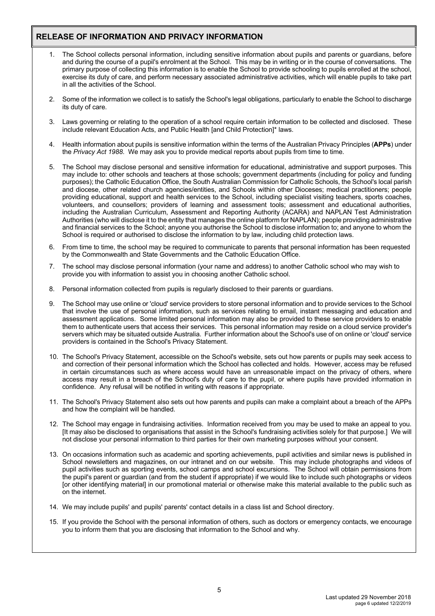# **RELEASE OF INFORMATION AND PRIVACY INFORMATION**

- 1. The School collects personal information, including sensitive information about pupils and parents or guardians, before and during the course of a pupil's enrolment at the School. This may be in writing or in the course of conversations. The primary purpose of collecting this information is to enable the School to provide schooling to pupils enrolled at the school, exercise its duty of care, and perform necessary associated administrative activities, which will enable pupils to take part in all the activities of the School.
- 2. Some of the information we collect is to satisfy the School's legal obligations, particularly to enable the School to discharge its duty of care.
- 3. Laws governing or relating to the operation of a school require certain information to be collected and disclosed. These include relevant Education Acts, and Public Health [and Child Protection]\* laws.
- 4. Health information about pupils is sensitive information within the terms of the Australian Privacy Principles (**APPs**) under the *Privacy Act 1988*. We may ask you to provide medical reports about pupils from time to time.
- 5. The School may disclose personal and sensitive information for educational, administrative and support purposes. This may include to: other schools and teachers at those schools; government departments (including for policy and funding purposes); the Catholic Education Office, the South Australian Commission for Catholic Schools, the School's local parish and diocese, other related church agencies/entities, and Schools within other Dioceses; medical practitioners; people providing educational, support and health services to the School, including specialist visiting teachers, sports coaches, volunteers, and counsellors; providers of learning and assessment tools; assessment and educational authorities, including the Australian Curriculum, Assessment and Reporting Authority (ACARA) and NAPLAN Test Administration Authorities (who will disclose it to the entity that manages the online platform for NAPLAN); people providing administrative and financial services to the School; anyone you authorise the School to disclose information to; and anyone to whom the School is required or authorised to disclose the information to by law, including child protection laws.
- 6. From time to time, the school may be required to communicate to parents that personal information has been requested by the Commonwealth and State Governments and the Catholic Education Office.
- 7. The school may disclose personal information (your name and address) to another Catholic school who may wish to provide you with information to assist you in choosing another Catholic school.
- 8. Personal information collected from pupils is regularly disclosed to their parents or guardians.
- 9. The School may use online or 'cloud' service providers to store personal information and to provide services to the School that involve the use of personal information, such as services relating to email, instant messaging and education and assessment applications. Some limited personal information may also be provided to these service providers to enable them to authenticate users that access their services. This personal information may reside on a cloud service provider's servers which may be situated outside Australia. Further information about the School's use of on online or 'cloud' service providers is contained in the School's Privacy Statement.
- 10. The School's Privacy Statement, accessible on the School's website, sets out how parents or pupils may seek access to and correction of their personal information which the School has collected and holds. However, access may be refused in certain circumstances such as where access would have an unreasonable impact on the privacy of others, where access may result in a breach of the School's duty of care to the pupil, or where pupils have provided information in confidence. Any refusal will be notified in writing with reasons if appropriate.
- 11. The School's Privacy Statement also sets out how parents and pupils can make a complaint about a breach of the APPs and how the complaint will be handled.
- 12. The School may engage in fundraising activities. Information received from you may be used to make an appeal to you. [It may also be disclosed to organisations that assist in the School's fundraising activities solely for that purpose.] We will not disclose your personal information to third parties for their own marketing purposes without your consent.
- 13. On occasions information such as academic and sporting achievements, pupil activities and similar news is published in School newsletters and magazines, on our intranet and on our website. This may include photographs and videos of pupil activities such as sporting events, school camps and school excursions. The School will obtain permissions from the pupil's parent or guardian (and from the student if appropriate) if we would like to include such photographs or videos [or other identifying material] in our promotional material or otherwise make this material available to the public such as on the internet.
- 14. We may include pupils' and pupils' parents' contact details in a class list and School directory.
- 15. If you provide the School with the personal information of others, such as doctors or emergency contacts, we encourage you to inform them that you are disclosing that information to the School and why.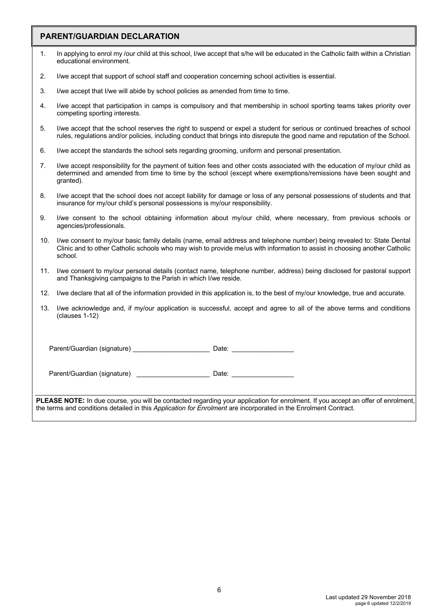# **PARENT/GUARDIAN DECLARATION**

| In applying to enrol my /our child at this school, I/we accept that s/he will be educated in the Catholic faith within a Christian |
|------------------------------------------------------------------------------------------------------------------------------------|
| educational environment.                                                                                                           |

- 2. I/we accept that support of school staff and cooperation concerning school activities is essential.
- 3. I/we accept that I/we will abide by school policies as amended from time to time.
- 4. I/we accept that participation in camps is compulsory and that membership in school sporting teams takes priority over competing sporting interests.
- 5. I/we accept that the school reserves the right to suspend or expel a student for serious or continued breaches of school rules, regulations and/or policies, including conduct that brings into disrepute the good name and reputation of the School.
- 6. I/we accept the standards the school sets regarding grooming, uniform and personal presentation.
- 7. I/we accept responsibility for the payment of tuition fees and other costs associated with the education of my/our child as determined and amended from time to time by the school (except where exemptions/remissions have been sought and granted).
- 8. I/we accept that the school does not accept liability for damage or loss of any personal possessions of students and that insurance for my/our child's personal possessions is my/our responsibility.
- 9. I/we consent to the school obtaining information about my/our child, where necessary, from previous schools or agencies/professionals.
- 10. I/we consent to my/our basic family details (name, email address and telephone number) being revealed to: State Dental Clinic and to other Catholic schools who may wish to provide me/us with information to assist in choosing another Catholic school.
- 11. I/we consent to my/our personal details (contact name, telephone number, address) being disclosed for pastoral support and Thanksgiving campaigns to the Parish in which I/we reside.
- 12. I/we declare that all of the information provided in this application is, to the best of my/our knowledge, true and accurate.
- 13. I/we acknowledge and, if my/our application is successful, accept and agree to all of the above terms and conditions (clauses 1-12)

Parent/Guardian (signature) \_\_\_\_\_\_\_\_\_\_\_\_\_\_\_\_\_\_\_\_\_\_\_\_\_\_\_ Date: \_\_\_\_\_\_\_\_\_\_\_\_\_\_\_\_\_\_

Parent/Guardian (signature) example and Date:

**PLEASE NOTE:** In due course, you will be contacted regarding your application for enrolment. If you accept an offer of enrolment, the terms and conditions detailed in this *Application for Enrolment* are incorporated in the Enrolment Contract.